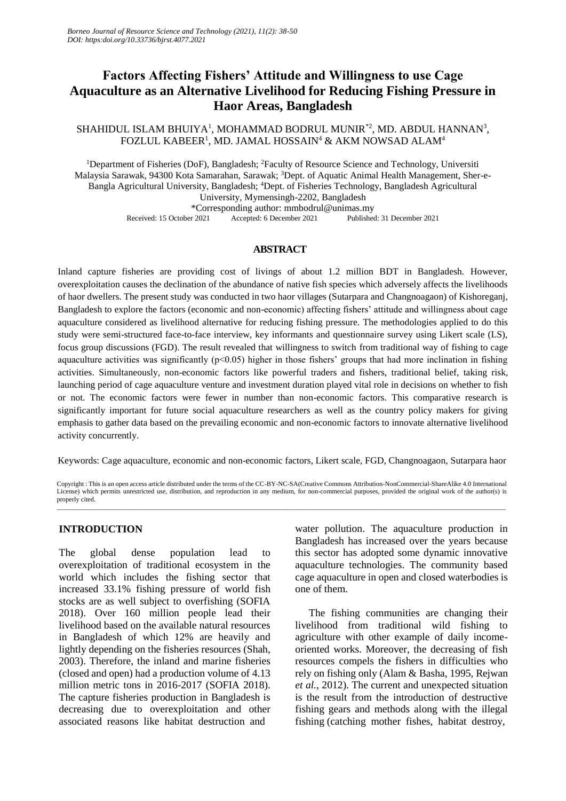# **Factors Affecting Fishers' Attitude and Willingness to use Cage Aquaculture as an Alternative Livelihood for Reducing Fishing Pressure in Haor Areas, Bangladesh**

 $SHAHIDUL ISLAM BHUIYA<sup>1</sup>, MOHAMMAD BODRUL MUNIR<sup>*</sup><sup>2</sup>, MD. ABDUL HANNAN<sup>3</sup>,$ <code>FOZLUL</code> KABEER<sup>1</sup>, MD. JAMAL HOSSAIN $^4$  & AKM NOWSAD ALAM $^4$ 

<sup>1</sup>Department of Fisheries (DoF), Bangladesh; <sup>2</sup>Faculty of Resource Science and Technology, Universiti Malaysia Sarawak, 94300 Kota Samarahan, Sarawak; <sup>3</sup>Dept. of Aquatic Animal Health Management, Sher-e-Bangla Agricultural University, Bangladesh; <sup>4</sup>Dept. of Fisheries Technology, Bangladesh Agricultural University, Mymensingh-2202, Bangladesh \*Corresponding author: mmbodrul@unimas.my Received: 15 October 2021 Accepted: 6 December 2021 Published: 31 December 2021

### **ABSTRACT**

Inland capture fisheries are providing cost of livings of about 1.2 million BDT in Bangladesh. However, overexploitation causes the declination of the abundance of native fish species which adversely affects the livelihoods of haor dwellers. The present study was conducted in two haor villages (Sutarpara and Changnoagaon) of Kishoreganj, Bangladesh to explore the factors (economic and non-economic) affecting fishers' attitude and willingness about cage aquaculture considered as livelihood alternative for reducing fishing pressure. The methodologies applied to do this study were semi-structured face-to-face interview, key informants and questionnaire survey using Likert scale (LS), focus group discussions (FGD). The result revealed that willingness to switch from traditional way of fishing to cage aquaculture activities was significantly  $(p<0.05)$  higher in those fishers' groups that had more inclination in fishing activities. Simultaneously, non-economic factors like powerful traders and fishers, traditional belief, taking risk, launching period of cage aquaculture venture and investment duration played vital role in decisions on whether to fish or not. The economic factors were fewer in number than non-economic factors. This comparative research is significantly important for future social aquaculture researchers as well as the country policy makers for giving emphasis to gather data based on the prevailing economic and non-economic factors to innovate alternative livelihood activity concurrently.

Keywords: Cage aquaculture, economic and non-economic factors, Likert scale, FGD, Changnoagaon, Sutarpara haor

Copyright : This is an open access article distributed under the terms of the CC-BY-NC-SA(Creative Commons Attribution-NonCommercial-ShareAlike 4.0 International License) which permits unrestricted use, distribution, and reproduction in any medium, for non-commercial purposes, provided the original work of the author(s) is properly cited. \_\_\_\_\_\_\_\_\_\_\_\_\_\_\_\_\_\_\_\_\_\_\_\_\_\_\_\_\_\_\_\_\_\_\_\_\_\_\_\_\_\_\_\_\_\_\_\_\_\_\_\_\_\_\_\_\_\_\_\_\_\_\_\_\_\_\_\_\_\_\_\_\_\_\_\_\_\_\_\_\_\_\_\_\_\_\_\_\_\_\_\_\_\_\_\_\_\_\_\_\_\_\_\_\_\_\_\_\_\_\_\_\_\_\_\_\_\_\_\_\_\_\_\_\_\_\_\_\_\_\_\_\_\_\_

### **INTRODUCTION**

The global dense population lead to overexploitation of traditional ecosystem in the world which includes the fishing sector that increased 33.1% fishing pressure of world fish stocks are as well subject to overfishing (SOFIA 2018). Over 160 million people lead their livelihood based on the available natural resources in Bangladesh of which 12% are heavily and lightly depending on the fisheries resources (Shah, 2003). Therefore, the inland and marine fisheries (closed and open) had a production volume of 4.13 million metric tons in 2016-2017 (SOFIA 2018). The capture fisheries production in Bangladesh is decreasing due to overexploitation and other associated reasons like habitat destruction and

water pollution. The aquaculture production in Bangladesh has increased over the years because this sector has adopted some dynamic innovative aquaculture technologies. The community based cage aquaculture in open and closed waterbodies is one of them.

The fishing communities are changing their livelihood from traditional wild fishing to agriculture with other example of daily incomeoriented works. Moreover, the decreasing of fish resources compels the fishers in difficulties who rely on fishing only (Alam & Basha, 1995, Rejwan *et al.*, 2012). The current and unexpected situation is the result from the introduction of destructive fishing gears and methods along with the illegal fishing (catching mother fishes, habitat destroy,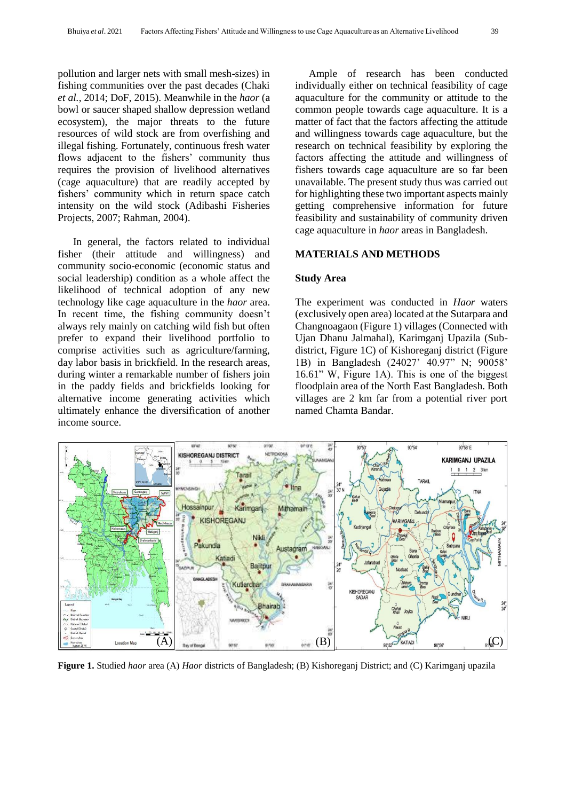pollution and larger nets with small mesh-sizes) in fishing communities over the past decades (Chaki *et al.*, 2014; DoF, 2015). Meanwhile in the *haor* (a bowl or saucer shaped shallow depression wetland ecosystem), the major threats to the future resources of wild stock are from overfishing and illegal fishing. Fortunately, continuous fresh water flows adjacent to the fishers' community thus requires the provision of livelihood alternatives (cage aquaculture) that are readily accepted by fishers' community which in return space catch intensity on the wild stock (Adibashi Fisheries Projects, 2007; Rahman, 2004).

In general, the factors related to individual fisher (their attitude and willingness) and community socio-economic (economic status and social leadership) condition as a whole affect the likelihood of technical adoption of any new technology like cage aquaculture in the *haor* area. In recent time, the fishing community doesn't always rely mainly on catching wild fish but often prefer to expand their livelihood portfolio to comprise activities such as agriculture/farming, day labor basis in brickfield. In the research areas, during winter a remarkable number of fishers join in the paddy fields and brickfields looking for alternative income generating activities which ultimately enhance the diversification of another income source.

Ample of research has been conducted individually either on technical feasibility of cage aquaculture for the community or attitude to the common people towards cage aquaculture. It is a matter of fact that the factors affecting the attitude and willingness towards cage aquaculture, but the research on technical feasibility by exploring the factors affecting the attitude and willingness of fishers towards cage aquaculture are so far been unavailable. The present study thus was carried out for highlighting these two important aspects mainly getting comprehensive information for future feasibility and sustainability of community driven cage aquaculture in *haor* areas in Bangladesh.

#### **MATERIALS AND METHODS**

#### **Study Area**

The experiment was conducted in *Haor* waters (exclusively open area) located at the Sutarpara and Changnoagaon (Figure 1) villages (Connected with Ujan Dhanu Jalmahal), Karimganj Upazila (Subdistrict, Figure 1C) of Kishoreganj district (Figure 1B) in Bangladesh (24027' 40.97" N; 90058' 16.61" W, Figure 1A). This is one of the biggest floodplain area of the North East Bangladesh. Both villages are 2 km far from a potential river port named Chamta Bandar.



**Figure 1.** Studied *haor* area (A) *Haor* districts of Bangladesh; (B) Kishoreganj District; and (C) Karimganj upazila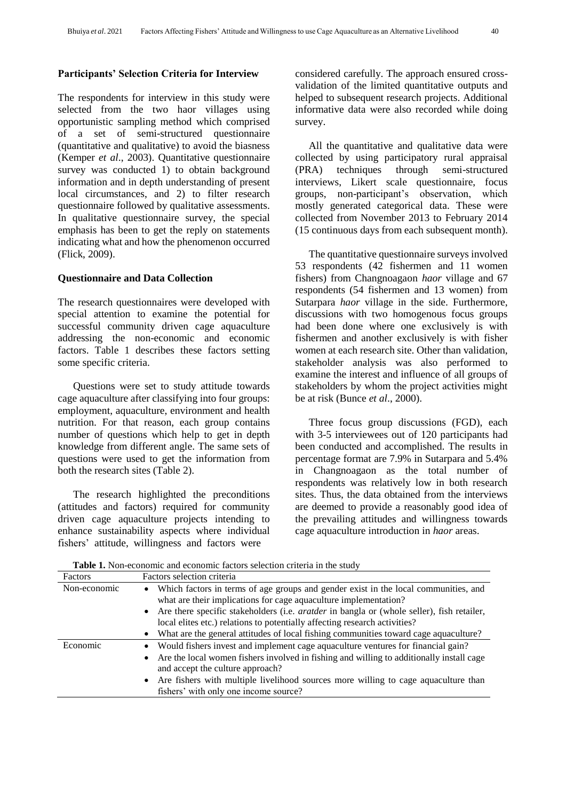#### **Participants' Selection Criteria for Interview**

The respondents for interview in this study were selected from the two haor villages using opportunistic sampling method which comprised of a set of semi-structured questionnaire (quantitative and qualitative) to avoid the biasness (Kemper *et al*., 2003). Quantitative questionnaire survey was conducted 1) to obtain background information and in depth understanding of present local circumstances, and 2) to filter research questionnaire followed by qualitative assessments. In qualitative questionnaire survey, the special emphasis has been to get the reply on statements indicating what and how the phenomenon occurred (Flick, 2009).

### **Questionnaire and Data Collection**

The research questionnaires were developed with special attention to examine the potential for successful community driven cage aquaculture addressing the non-economic and economic factors. Table 1 describes these factors setting some specific criteria.

Questions were set to study attitude towards cage aquaculture after classifying into four groups: employment, aquaculture, environment and health nutrition. For that reason, each group contains number of questions which help to get in depth knowledge from different angle. The same sets of questions were used to get the information from both the research sites (Table 2).

The research highlighted the preconditions (attitudes and factors) required for community driven cage aquaculture projects intending to enhance sustainability aspects where individual fishers' attitude, willingness and factors were

considered carefully. The approach ensured crossvalidation of the limited quantitative outputs and helped to subsequent research projects. Additional informative data were also recorded while doing survey.

All the quantitative and qualitative data were collected by using participatory rural appraisal (PRA) techniques through semi-structured interviews, Likert scale questionnaire, focus groups, non-participant's observation, which mostly generated categorical data. These were collected from November 2013 to February 2014 (15 continuous days from each subsequent month).

The quantitative questionnaire surveys involved 53 respondents (42 fishermen and 11 women fishers) from Changnoagaon *haor* village and 67 respondents (54 fishermen and 13 women) from Sutarpara *haor* village in the side. Furthermore, discussions with two homogenous focus groups had been done where one exclusively is with fishermen and another exclusively is with fisher women at each research site. Other than validation, stakeholder analysis was also performed to examine the interest and influence of all groups of stakeholders by whom the project activities might be at risk (Bunce *et al*., 2000).

Three focus group discussions (FGD), each with 3-5 interviewees out of 120 participants had been conducted and accomplished. The results in percentage format are 7.9% in Sutarpara and 5.4% in Changnoagaon as the total number of respondents was relatively low in both research sites. Thus, the data obtained from the interviews are deemed to provide a reasonably good idea of the prevailing attitudes and willingness towards cage aquaculture introduction in *haor* areas.

| Factors      | Factors selection criteria                                                                                                                                                                                                                                                                                                                               |
|--------------|----------------------------------------------------------------------------------------------------------------------------------------------------------------------------------------------------------------------------------------------------------------------------------------------------------------------------------------------------------|
| Non-economic | Which factors in terms of age groups and gender exist in the local communities, and<br>$\bullet$<br>what are their implications for cage aquaculture implementation?<br>• Are there specific stakeholders (i.e. <i>aratder</i> in bangla or (whole seller), fish retailer,<br>local elites etc.) relations to potentially affecting research activities? |
|              | • What are the general attitudes of local fishing communities toward cage aquaculture?                                                                                                                                                                                                                                                                   |
| Economic     | • Would fishers invest and implement cage aquaculture ventures for financial gain?<br>• Are the local women fishers involved in fishing and willing to additionally install cage<br>and accept the culture approach?<br>• Are fishers with multiple livelihood sources more willing to cage aquaculture than<br>fishers' with only one income source?    |

**Table 1.** Non-economic and economic factors selection criteria in the study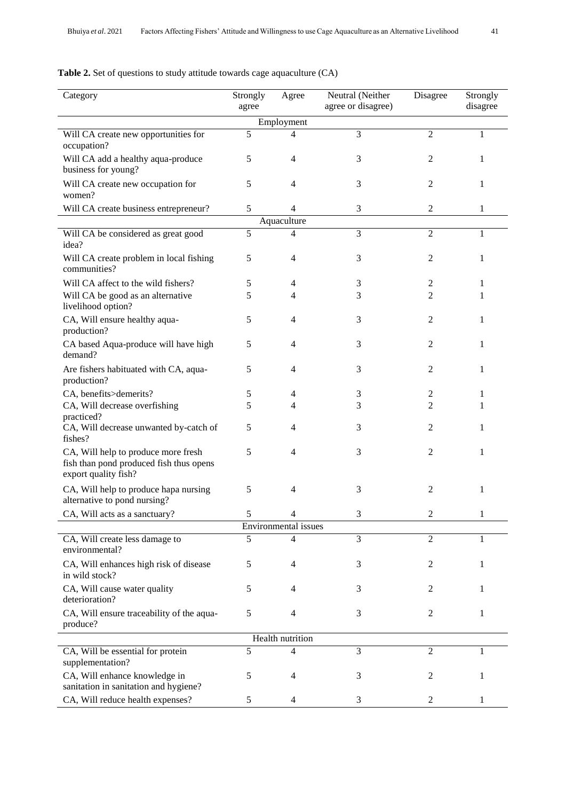# **Table 2.** Set of questions to study attitude towards cage aquaculture (CA)

| Category                                                                                               | Strongly<br>agree | Agree                | Neutral (Neither<br>agree or disagree) | Disagree       | Strongly<br>disagree |  |  |  |  |  |  |  |
|--------------------------------------------------------------------------------------------------------|-------------------|----------------------|----------------------------------------|----------------|----------------------|--|--|--|--|--|--|--|
|                                                                                                        |                   |                      |                                        |                |                      |  |  |  |  |  |  |  |
| Employment<br>5<br>3<br>$\overline{c}$<br>Will CA create new opportunities for<br>1<br>4               |                   |                      |                                        |                |                      |  |  |  |  |  |  |  |
| occupation?                                                                                            |                   |                      |                                        |                |                      |  |  |  |  |  |  |  |
| Will CA add a healthy aqua-produce                                                                     | 5                 | 4                    | 3                                      | 2              | 1                    |  |  |  |  |  |  |  |
| business for young?                                                                                    |                   |                      |                                        |                |                      |  |  |  |  |  |  |  |
| Will CA create new occupation for<br>women?                                                            | 5                 | 4                    | 3                                      | 2              | 1                    |  |  |  |  |  |  |  |
| Will CA create business entrepreneur?                                                                  | 5                 | $\overline{4}$       | 3                                      | $\mathbf{2}$   | 1                    |  |  |  |  |  |  |  |
| Aquaculture                                                                                            |                   |                      |                                        |                |                      |  |  |  |  |  |  |  |
| Will CA be considered as great good<br>idea?                                                           | 5                 | 4                    | 3                                      | $\overline{2}$ | 1                    |  |  |  |  |  |  |  |
| Will CA create problem in local fishing<br>communities?                                                | 5                 | 4                    | 3                                      | 2              | 1                    |  |  |  |  |  |  |  |
| Will CA affect to the wild fishers?                                                                    | 5                 | 4                    | 3                                      | 2              | 1                    |  |  |  |  |  |  |  |
| Will CA be good as an alternative<br>livelihood option?                                                | 5                 | 4                    | 3                                      | 2              | 1                    |  |  |  |  |  |  |  |
| CA, Will ensure healthy aqua-<br>production?                                                           | 5                 | 4                    | 3                                      | 2              | 1                    |  |  |  |  |  |  |  |
| CA based Aqua-produce will have high<br>demand?                                                        | 5                 | 4                    | 3                                      | 2              | 1                    |  |  |  |  |  |  |  |
| Are fishers habituated with CA, aqua-<br>production?                                                   | 5                 | 4                    | 3                                      | 2              | 1                    |  |  |  |  |  |  |  |
| CA, benefits>demerits?                                                                                 | 5                 | 4                    | 3                                      | 2              | 1                    |  |  |  |  |  |  |  |
| CA, Will decrease overfishing                                                                          | 5                 | 4                    | 3                                      | 2              | 1                    |  |  |  |  |  |  |  |
| practiced?<br>CA, Will decrease unwanted by-catch of<br>fishes?                                        | 5                 | 4                    | 3                                      | 2              | 1                    |  |  |  |  |  |  |  |
| CA, Will help to produce more fresh<br>fish than pond produced fish thus opens<br>export quality fish? | 5                 | 4                    | 3                                      | 2              | 1                    |  |  |  |  |  |  |  |
| CA, Will help to produce hapa nursing<br>alternative to pond nursing?                                  | 5                 | 4                    | 3                                      | 2              | 1                    |  |  |  |  |  |  |  |
| CA, Will acts as a sanctuary?                                                                          | 5                 | 4                    | 3                                      | 2              | 1                    |  |  |  |  |  |  |  |
|                                                                                                        |                   | Environmental issues |                                        |                |                      |  |  |  |  |  |  |  |
| CA, Will create less damage to<br>environmental?                                                       | 5                 | $\overline{4}$       | 3                                      | $\overline{2}$ | $\mathbf{1}$         |  |  |  |  |  |  |  |
| CA, Will enhances high risk of disease<br>in wild stock?                                               | 5                 | 4                    | 3                                      | 2              | 1                    |  |  |  |  |  |  |  |
| CA, Will cause water quality<br>deterioration?                                                         | 5                 | 4                    | 3                                      | 2              | 1                    |  |  |  |  |  |  |  |
| CA, Will ensure traceability of the aqua-<br>produce?                                                  | 5                 | 4                    | 3                                      | 2              | 1                    |  |  |  |  |  |  |  |
|                                                                                                        |                   | Health nutrition     |                                        |                |                      |  |  |  |  |  |  |  |
| 5<br>CA, Will be essential for protein<br>4<br>3<br>$\overline{2}$<br>1                                |                   |                      |                                        |                |                      |  |  |  |  |  |  |  |
| supplementation?                                                                                       |                   |                      |                                        |                |                      |  |  |  |  |  |  |  |
| CA, Will enhance knowledge in<br>sanitation in sanitation and hygiene?                                 | 5                 | 4                    | 3                                      | 2              | 1                    |  |  |  |  |  |  |  |
| CA, Will reduce health expenses?                                                                       | 5                 | 4                    | 3                                      | 2              | 1                    |  |  |  |  |  |  |  |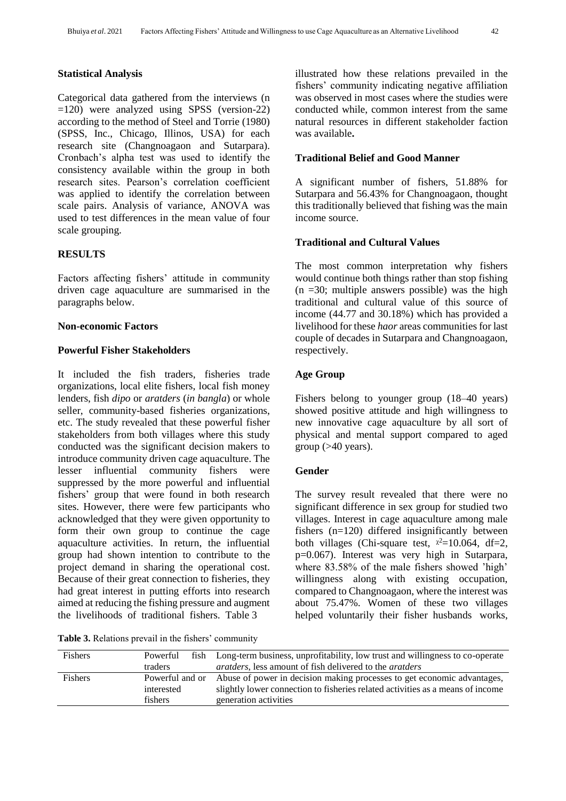### **Statistical Analysis**

Categorical data gathered from the interviews (n =120) were analyzed using SPSS (version-22) according to the method of Steel and Torrie (1980) (SPSS, Inc., Chicago, Illinos, USA) for each research site (Changnoagaon and Sutarpara). Cronbach's alpha test was used to identify the consistency available within the group in both research sites. Pearson's correlation coefficient was applied to identify the correlation between scale pairs. Analysis of variance, ANOVA was used to test differences in the mean value of four scale grouping.

### **RESULTS**

Factors affecting fishers' attitude in community driven cage aquaculture are summarised in the paragraphs below.

#### **Non-economic Factors**

# **Powerful Fisher Stakeholders**

It included the fish traders, fisheries trade organizations, local elite fishers, local fish money lenders, fish *dipo* or *aratders* (*in bangla*) or whole seller, community-based fisheries organizations, etc. The study revealed that these powerful fisher stakeholders from both villages where this study conducted was the significant decision makers to introduce community driven cage aquaculture. The lesser influential community fishers were suppressed by the more powerful and influential fishers' group that were found in both research sites. However, there were few participants who acknowledged that they were given opportunity to form their own group to continue the cage aquaculture activities. In return, the influential group had shown intention to contribute to the project demand in sharing the operational cost. Because of their great connection to fisheries, they had great interest in putting efforts into research aimed at reducing the fishing pressure and augment the livelihoods of traditional fishers. Table 3

**Table 3.** Relations prevail in the fishers' community

illustrated how these relations prevailed in the fishers' community indicating negative affiliation was observed in most cases where the studies were conducted while, common interest from the same natural resources in different stakeholder faction was available**.**

# **Traditional Belief and Good Manner**

A significant number of fishers, 51.88% for Sutarpara and 56.43% for Changnoagaon, thought this traditionally believed that fishing was the main income source.

# **Traditional and Cultural Values**

The most common interpretation why fishers would continue both things rather than stop fishing  $(n = 30;$  multiple answers possible) was the high traditional and cultural value of this source of income (44.77 and 30.18%) which has provided a livelihood for these *haor* areas communities for last couple of decades in Sutarpara and Changnoagaon, respectively.

# **Age Group**

Fishers belong to younger group (18–40 years) showed positive attitude and high willingness to new innovative cage aquaculture by all sort of physical and mental support compared to aged group  $($ >40 years).

### **Gender**

The survey result revealed that there were no significant difference in sex group for studied two villages. Interest in cage aquaculture among male fishers (n=120) differed insignificantly between both villages (Chi-square test,  $x^2=10.064$ , df=2, p=0.067). Interest was very high in Sutarpara, where 83.58% of the male fishers showed 'high' willingness along with existing occupation, compared to Changnoagaon, where the interest was about 75.47%. Women of these two villages helped voluntarily their fisher husbands works,

| <b>Fishers</b> | fish<br>Powerful                         | Long-term business, unprofitability, low trust and willingness to co-operate                                                                                                       |  |  |  |  |  |  |
|----------------|------------------------------------------|------------------------------------------------------------------------------------------------------------------------------------------------------------------------------------|--|--|--|--|--|--|
|                | traders                                  | <i>aratders</i> , less amount of fish delivered to the <i>aratders</i>                                                                                                             |  |  |  |  |  |  |
| <b>Fishers</b> | Powerful and or<br>interested<br>fishers | Abuse of power in decision making processes to get economic advantages,<br>slightly lower connection to fisheries related activities as a means of income<br>generation activities |  |  |  |  |  |  |
|                |                                          |                                                                                                                                                                                    |  |  |  |  |  |  |
|                |                                          |                                                                                                                                                                                    |  |  |  |  |  |  |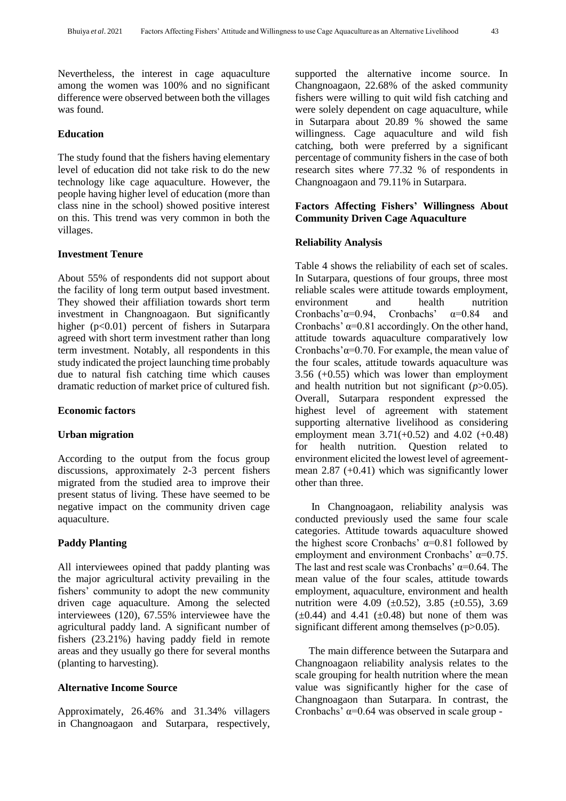Nevertheless, the interest in cage aquaculture among the women was 100% and no significant difference were observed between both the villages was found.

# **Education**

The study found that the fishers having elementary level of education did not take risk to do the new technology like cage aquaculture. However, the people having higher level of education (more than class nine in the school) showed positive interest on this. This trend was very common in both the villages.

#### **Investment Tenure**

About 55% of respondents did not support about the facility of long term output based investment. They showed their affiliation towards short term investment in Changnoagaon. But significantly higher (p<0.01) percent of fishers in Sutarpara agreed with short term investment rather than long term investment. Notably, all respondents in this study indicated the project launching time probably due to natural fish catching time which causes dramatic reduction of market price of cultured fish.

#### **Economic factors**

### **Urban migration**

According to the output from the focus group discussions, approximately 2-3 percent fishers migrated from the studied area to improve their present status of living. These have seemed to be negative impact on the community driven cage aquaculture.

# **Paddy Planting**

All interviewees opined that paddy planting was the major agricultural activity prevailing in the fishers' community to adopt the new community driven cage aquaculture. Among the selected interviewees (120), 67.55% interviewee have the agricultural paddy land. A significant number of fishers (23.21%) having paddy field in remote areas and they usually go there for several months (planting to harvesting).

# **Alternative Income Source**

Approximately, 26.46% and 31.34% villagers in Changnoagaon and Sutarpara, respectively, supported the alternative income source. In Changnoagaon, 22.68% of the asked community fishers were willing to quit wild fish catching and were solely dependent on cage aquaculture, while in Sutarpara about 20.89 % showed the same willingness. Cage aquaculture and wild fish catching, both were preferred by a significant percentage of community fishers in the case of both research sites where 77.32 % of respondents in Changnoagaon and 79.11% in Sutarpara.

# **Factors Affecting Fishers' Willingness About Community Driven Cage Aquaculture**

#### **Reliability Analysis**

Table 4 shows the reliability of each set of scales. In Sutarpara, questions of four groups, three most reliable scales were attitude towards employment, environment and health nutrition Cronbachs' $\alpha$ =0.94, Cronbachs'  $\alpha$ =0.84 and Cronbachs'  $\alpha$ =0.81 accordingly. On the other hand, attitude towards aquaculture comparatively low Cronbachs' $\alpha$ =0.70. For example, the mean value of the four scales, attitude towards aquaculture was 3.56 (+0.55) which was lower than employment and health nutrition but not significant  $(p>0.05)$ . Overall, Sutarpara respondent expressed the highest level of agreement with statement supporting alternative livelihood as considering employment mean  $3.71(+0.52)$  and  $4.02 (+0.48)$ for health nutrition. Question related to environment elicited the lowest level of agreementmean  $2.87$  (+0.41) which was significantly lower other than three.

In Changnoagaon, reliability analysis was conducted previously used the same four scale categories. Attitude towards aquaculture showed the highest score Cronbachs' α=0.81 followed by employment and environment Cronbachs'  $\alpha$ =0.75. The last and rest scale was Cronbachs'  $\alpha$ =0.64. The mean value of the four scales, attitude towards employment, aquaculture, environment and health nutrition were 4.09 (±0.52), 3.85 (±0.55), 3.69  $(\pm 0.44)$  and 4.41  $(\pm 0.48)$  but none of them was significant different among themselves (p>0.05).

The main difference between the Sutarpara and Changnoagaon reliability analysis relates to the scale grouping for health nutrition where the mean value was significantly higher for the case of Changnoagaon than Sutarpara. In contrast, the Cronbachs' α=0.64 was observed in scale group -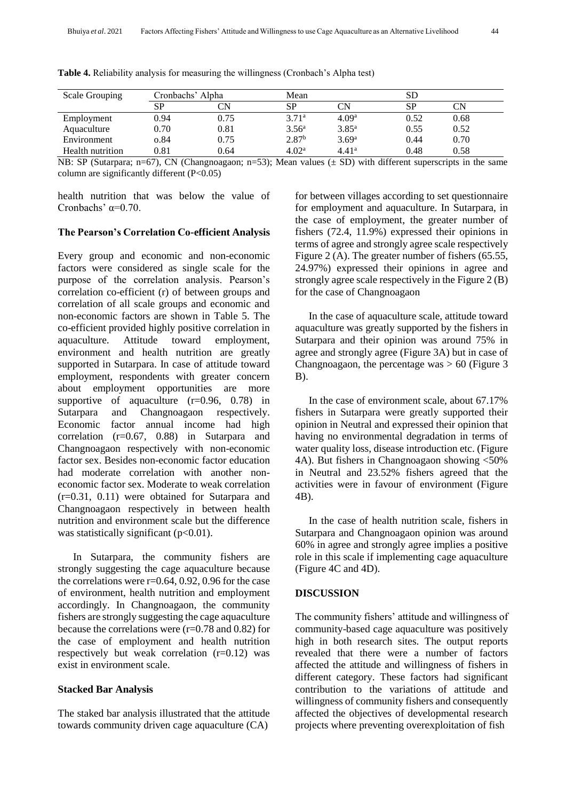| Scale Grouping          | Cronbachs' Alpha |      | Mean              |                   |           |      |  |  |
|-------------------------|------------------|------|-------------------|-------------------|-----------|------|--|--|
|                         | SP               | CN   | SP                | CN                | <b>SP</b> | CN   |  |  |
| Employment              | 0.94             | 0.75 | 3.71 <sup>a</sup> | 4.09 <sup>a</sup> | 0.52      | 0.68 |  |  |
| Aquaculture             | 0.70             | 0.81 | 3.56 <sup>a</sup> | $3.85^{\rm a}$    | 0.55      | 0.52 |  |  |
| Environment             | o.84             | 0.75 | 2.87 <sup>b</sup> | 3.69 <sup>a</sup> | 0.44      | 0.70 |  |  |
| <b>Health</b> nutrition | 0.81             | 0.64 | 4.02 <sup>a</sup> | 4.41 <sup>a</sup> | 0.48      | 0.58 |  |  |

**Table 4.** Reliability analysis for measuring the willingness (Cronbach's Alpha test)

NB: SP (Sutarpara; n=67), CN (Changnoagaon; n=53); Mean values  $(\pm SD)$  with different superscripts in the same column are significantly different  $(P<0.05)$ 

health nutrition that was below the value of Cronbachs'  $\alpha$ =0.70.

#### **The Pearson's Correlation Co-efficient Analysis**

Every group and economic and non-economic factors were considered as single scale for the purpose of the correlation analysis. Pearson's correlation co-efficient (r) of between groups and correlation of all scale groups and economic and non-economic factors are shown in Table 5. The co-efficient provided highly positive correlation in aquaculture. Attitude toward employment, environment and health nutrition are greatly supported in Sutarpara. In case of attitude toward employment, respondents with greater concern about employment opportunities are more supportive of aquaculture  $(r=0.96, 0.78)$  in Sutarpara and Changnoagaon respectively. Economic factor annual income had high correlation (r=0.67, 0.88) in Sutarpara and Changnoagaon respectively with non-economic factor sex. Besides non-economic factor education had moderate correlation with another noneconomic factor sex. Moderate to weak correlation (r=0.31, 0.11) were obtained for Sutarpara and Changnoagaon respectively in between health nutrition and environment scale but the difference was statistically significant  $(p<0.01)$ .

In Sutarpara, the community fishers are strongly suggesting the cage aquaculture because the correlations were  $r=0.64$ , 0.92, 0.96 for the case of environment, health nutrition and employment accordingly. In Changnoagaon, the community fishers are strongly suggesting the cage aquaculture because the correlations were (r=0.78 and 0.82) for the case of employment and health nutrition respectively but weak correlation (r=0.12) was exist in environment scale.

#### **Stacked Bar Analysis**

The staked bar analysis illustrated that the attitude towards community driven cage aquaculture (CA)

for between villages according to set questionnaire for employment and aquaculture. In Sutarpara, in the case of employment, the greater number of fishers (72.4, 11.9%) expressed their opinions in terms of agree and strongly agree scale respectively Figure 2 (A). The greater number of fishers (65.55, 24.97%) expressed their opinions in agree and strongly agree scale respectively in the Figure 2 (B) for the case of Changnoagaon

In the case of aquaculture scale, attitude toward aquaculture was greatly supported by the fishers in Sutarpara and their opinion was around 75% in agree and strongly agree (Figure 3A) but in case of Changnoagaon, the percentage was  $> 60$  (Figure 3)  $B$ ).

In the case of environment scale, about 67.17% fishers in Sutarpara were greatly supported their opinion in Neutral and expressed their opinion that having no environmental degradation in terms of water quality loss, disease introduction etc. (Figure 4A). But fishers in Changnoagaon showing <50% in Neutral and 23.52% fishers agreed that the activities were in favour of environment (Figure 4B).

In the case of health nutrition scale, fishers in Sutarpara and Changnoagaon opinion was around 60% in agree and strongly agree implies a positive role in this scale if implementing cage aquaculture (Figure 4C and 4D).

#### **DISCUSSION**

The community fishers' attitude and willingness of community-based cage aquaculture was positively high in both research sites. The output reports revealed that there were a number of factors affected the attitude and willingness of fishers in different category. These factors had significant contribution to the variations of attitude and willingness of community fishers and consequently affected the objectives of developmental research projects where preventing overexploitation of fish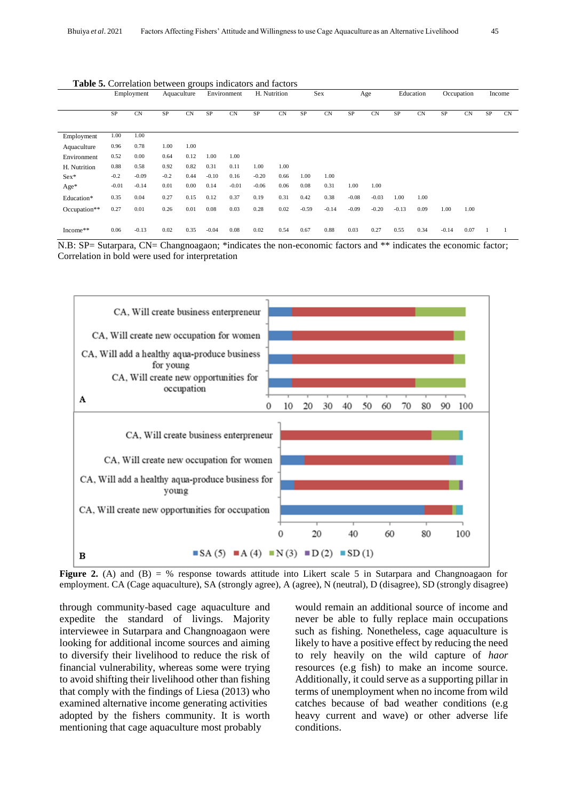|              | <b>Thore of Correlation between groups muretions and nuevors</b><br>Employment |           | Aquaculture |      | Environment |           | H. Nutrition |           | Sex     |           | Age     |         | Education |           | Occupation |           | Income |    |
|--------------|--------------------------------------------------------------------------------|-----------|-------------|------|-------------|-----------|--------------|-----------|---------|-----------|---------|---------|-----------|-----------|------------|-----------|--------|----|
|              | SP                                                                             | <b>CN</b> | SP          | CN   | SP          | <b>CN</b> | SP           | <b>CN</b> | SP      | <b>CN</b> | SP      | CN      | $\rm SP$  | <b>CN</b> | SP         | <b>CN</b> | SP     | CN |
| Employment   | 1.00                                                                           | 1.00      |             |      |             |           |              |           |         |           |         |         |           |           |            |           |        |    |
| Aquaculture  | 0.96                                                                           | 0.78      | 1.00        | 1.00 |             |           |              |           |         |           |         |         |           |           |            |           |        |    |
| Environment  | 0.52                                                                           | 0.00      | 0.64        | 0.12 | 1.00        | 1.00      |              |           |         |           |         |         |           |           |            |           |        |    |
| H. Nutrition | 0.88                                                                           | 0.58      | 0.92        | 0.82 | 0.31        | 0.11      | 1.00         | 1.00      |         |           |         |         |           |           |            |           |        |    |
| $Sex*$       | $-0.2$                                                                         | $-0.09$   | $-0.2$      | 0.44 | $-0.10$     | 0.16      | $-0.20$      | 0.66      | 1.00    | 1.00      |         |         |           |           |            |           |        |    |
| $Age*$       | $-0.01$                                                                        | $-0.14$   | 0.01        | 0.00 | 0.14        | $-0.01$   | $-0.06$      | 0.06      | 0.08    | 0.31      | 1.00    | 1.00    |           |           |            |           |        |    |
| Education*   | 0.35                                                                           | 0.04      | 0.27        | 0.15 | 0.12        | 0.37      | 0.19         | 0.31      | 0.42    | 0.38      | $-0.08$ | $-0.03$ | 1.00      | 1.00      |            |           |        |    |
| Occupation** | 0.27                                                                           | 0.01      | 0.26        | 0.01 | 0.08        | 0.03      | 0.28         | 0.02      | $-0.59$ | $-0.14$   | $-0.09$ | $-0.20$ | $-0.13$   | 0.09      | 1.00       | 1.00      |        |    |
| Income**     | 0.06                                                                           | $-0.13$   | 0.02        | 0.35 | $-0.04$     | 0.08      | 0.02         | 0.54      | 0.67    | 0.88      | 0.03    | 0.27    | 0.55      | 0.34      | $-0.14$    | 0.07      |        |    |

**Table 5.** Correlation between groups indicators and factors

N.B: SP= Sutarpara, CN= Changnoagaon; \*indicates the non-economic factors and \*\* indicates the economic factor; Correlation in bold were used for interpretation



**Figure 2.** (A) and (B) = % response towards attitude into Likert scale 5 in Sutarpara and Changnoagaon for employment. CA (Cage aquaculture), SA (strongly agree), A (agree), N (neutral), D (disagree), SD (strongly disagree)

through community-based cage aquaculture and expedite the standard of livings. Majority interviewee in Sutarpara and Changnoagaon were looking for additional income sources and aiming to diversify their livelihood to reduce the risk of financial vulnerability, whereas some were trying to avoid shifting their livelihood other than fishing that comply with the findings of Liesa (2013) who examined alternative income generating activities adopted by the fishers community. It is worth mentioning that cage aquaculture most probably

would remain an additional source of income and never be able to fully replace main occupations such as fishing. Nonetheless, cage aquaculture is likely to have a positive effect by reducing the need to rely heavily on the wild capture of *haor* resources (e.g fish) to make an income source. Additionally, it could serve as a supporting pillar in terms of unemployment when no income from wild catches because of bad weather conditions (e.g heavy current and wave) or other adverse life conditions.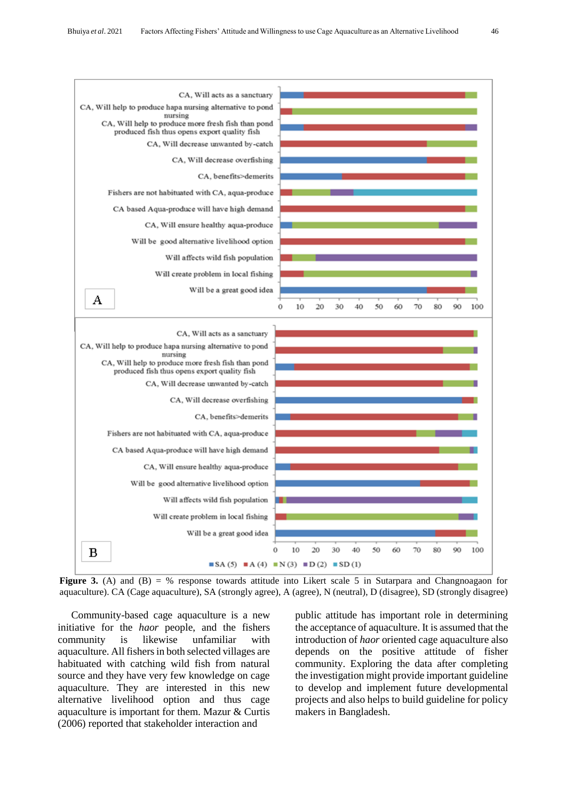

**Figure 3.** (A) and (B) = % response towards attitude into Likert scale 5 in Sutarpara and Changnoagaon for aquaculture). CA (Cage aquaculture), SA (strongly agree), A (agree), N (neutral), D (disagree), SD (strongly disagree)

Community-based cage aquaculture is a new initiative for the *haor* people, and the fishers community is likewise unfamiliar with aquaculture. All fishers in both selected villages are habituated with catching wild fish from natural source and they have very few knowledge on cage aquaculture. They are interested in this new alternative livelihood option and thus cage aquaculture is important for them. Mazur & Curtis (2006) reported that stakeholder interaction and

public attitude has important role in determining the acceptance of aquaculture. It is assumed that the introduction of *haor* oriented cage aquaculture also depends on the positive attitude of fisher community. Exploring the data after completing the investigation might provide important guideline to develop and implement future developmental projects and also helps to build guideline for policy makers in Bangladesh.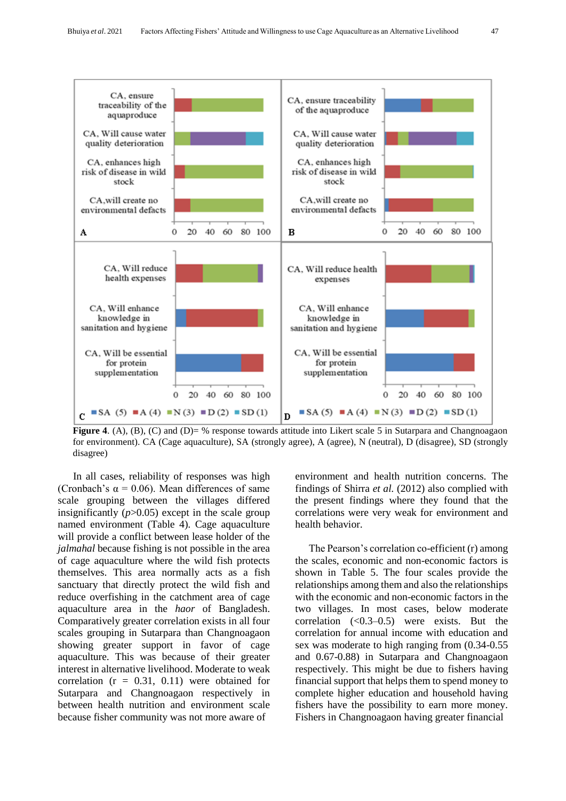

**Figure 4.** (A), (B), (C) and (D)= % response towards attitude into Likert scale 5 in Sutarpara and Changnoagaon for environment). CA (Cage aquaculture), SA (strongly agree), A (agree), N (neutral), D (disagree), SD (strongly disagree)

In all cases, reliability of responses was high (Cronbach's  $\alpha = 0.06$ ). Mean differences of same scale grouping between the villages differed insignificantly  $(p>0.05)$  except in the scale group named environment (Table 4). Cage aquaculture will provide a conflict between lease holder of the *jalmahal* because fishing is not possible in the area of cage aquaculture where the wild fish protects themselves. This area normally acts as a fish sanctuary that directly protect the wild fish and reduce overfishing in the catchment area of cage aquaculture area in the *haor* of Bangladesh. Comparatively greater correlation exists in all four scales grouping in Sutarpara than Changnoagaon showing greater support in favor of cage aquaculture. This was because of their greater interest in alternative livelihood. Moderate to weak correlation  $(r = 0.31, 0.11)$  were obtained for Sutarpara and Changnoagaon respectively in between health nutrition and environment scale because fisher community was not more aware of

environment and health nutrition concerns. The findings of Shirra *et al.* (2012) also complied with the present findings where they found that the correlations were very weak for environment and health behavior.

The Pearson's correlation co-efficient (r) among the scales, economic and non-economic factors is shown in Table 5. The four scales provide the relationships among them and also the relationships with the economic and non-economic factors in the two villages. In most cases, below moderate correlation  $(<0.3-0.5$ ) were exists. But thecorrelation for annual income with education and sex was moderate to high ranging from (0.34-0.55 and 0.67-0.88) in Sutarpara and Changnoagaon respectively. This might be due to fishers having financial support that helps them to spend money to complete higher education and household having fishers have the possibility to earn more money. Fishers in Changnoagaon having greater financial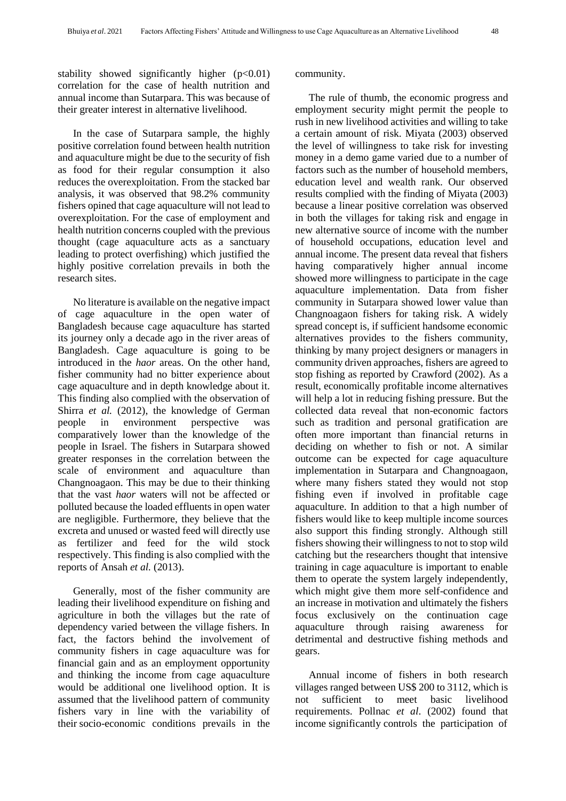stability showed significantly higher  $(p<0.01)$ correlation for the case of health nutrition and annual income than Sutarpara. This was because of their greater interest in alternative livelihood.

In the case of Sutarpara sample, the highly positive correlation found between health nutrition and aquaculture might be due to the security of fish as food for their regular consumption it also reduces the overexploitation. From the stacked bar analysis, it was observed that 98.2% community fishers opined that cage aquaculture will not lead to overexploitation. For the case of employment and health nutrition concerns coupled with the previous thought (cage aquaculture acts as a sanctuary leading to protect overfishing) which justified the highly positive correlation prevails in both the research sites.

No literature is available on the negative impact of cage aquaculture in the open water of Bangladesh because cage aquaculture has started its journey only a decade ago in the river areas of Bangladesh. Cage aquaculture is going to be introduced in the *haor* areas. On the other hand, fisher community had no bitter experience about cage aquaculture and in depth knowledge about it. This finding also complied with the observation of Shirra *et al.* (2012), the knowledge of German people in environment perspective was comparatively lower than the knowledge of the people in Israel. The fishers in Sutarpara showed greater responses in the correlation between the scale of environment and aquaculture than Changnoagaon. This may be due to their thinking that the vast *haor* waters will not be affected or polluted because the loaded effluents in open water are negligible. Furthermore, they believe that the excreta and unused or wasted feed will directly use as fertilizer and feed for the wild stock respectively. This finding is also complied with the reports of Ansah *et al.* (2013).

Generally, most of the fisher community are leading their livelihood expenditure on fishing and agriculture in both the villages but the rate of dependency varied between the village fishers. In fact, the factors behind the involvement of community fishers in cage aquaculture was for financial gain and as an employment opportunity and thinking the income from cage aquaculture would be additional one livelihood option. It is assumed that the livelihood pattern of community fishers vary in line with the variability of their socio-economic conditions prevails in the

#### community.

The rule of thumb, the economic progress and employment security might permit the people to rush in new livelihood activities and willing to take a certain amount of risk. Miyata (2003) observed the level of willingness to take risk for investing money in a demo game varied due to a number of factors such as the number of household members, education level and wealth rank. Our observed results complied with the finding of Miyata (2003) because a linear positive correlation was observed in both the villages for taking risk and engage in new alternative source of income with the number of household occupations, education level and annual income. The present data reveal that fishers having comparatively higher annual income showed more willingness to participate in the cage aquaculture implementation. Data from fisher community in Sutarpara showed lower value than Changnoagaon fishers for taking risk. A widely spread concept is, if sufficient handsome economic alternatives provides to the fishers community, thinking by many project designers or managers in community driven approaches, fishers are agreed to stop fishing as reported by Crawford (2002). As a result, economically profitable income alternatives will help a lot in reducing fishing pressure. But the collected data reveal that non-economic factors such as tradition and personal gratification are often more important than financial returns in deciding on whether to fish or not. A similar outcome can be expected for cage aquaculture implementation in Sutarpara and Changnoagaon, where many fishers stated they would not stop fishing even if involved in profitable cage aquaculture. In addition to that a high number of fishers would like to keep multiple income sources also support this finding strongly. Although still fishers showing their willingness to not to stop wild catching but the researchers thought that intensive training in cage aquaculture is important to enable them to operate the system largely independently, which might give them more self-confidence and an increase in motivation and ultimately the fishers focus exclusively on the continuation cage aquaculture through raising awareness for detrimental and destructive fishing methods and gears.

Annual income of fishers in both research villages ranged between US\$ 200 to 3112, which is not sufficient to meet basic livelihood requirements. Pollnac *et al*. (2002) found that income significantly controls the participation of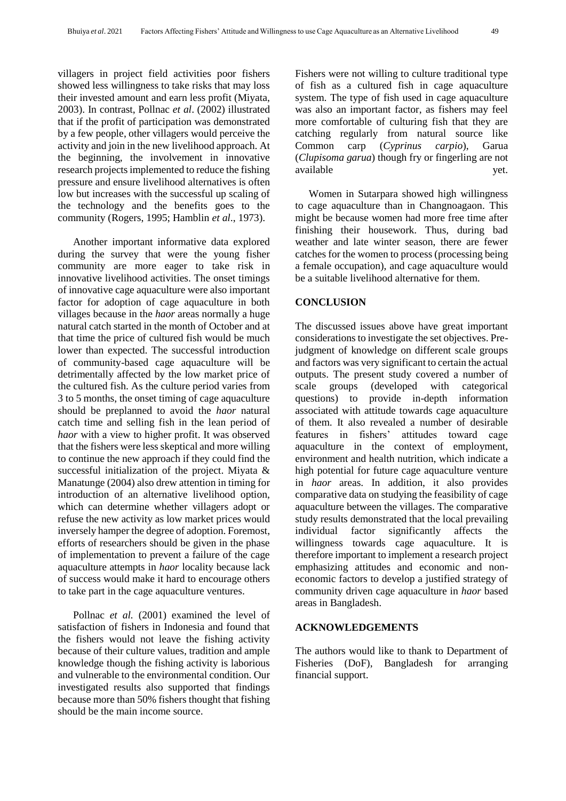villagers in project field activities poor fishers showed less willingness to take risks that may loss their invested amount and earn less profit (Miyata, 2003). In contrast, Pollnac *et al*. (2002) illustrated that if the profit of participation was demonstrated by a few people, other villagers would perceive the activity and join in the new livelihood approach. At the beginning, the involvement in innovative research projects implemented to reduce the fishing pressure and ensure livelihood alternatives is often low but increases with the successful up scaling of the technology and the benefits goes to the community (Rogers, 1995; Hamblin *et al*., 1973).

Another important informative data explored during the survey that were the young fisher community are more eager to take risk in innovative livelihood activities. The onset timings of innovative cage aquaculture were also important factor for adoption of cage aquaculture in both villages because in the *haor* areas normally a huge natural catch started in the month of October and at that time the price of cultured fish would be much lower than expected. The successful introduction of community-based cage aquaculture will be detrimentally affected by the low market price of the cultured fish. As the culture period varies from 3 to 5 months, the onset timing of cage aquaculture should be preplanned to avoid the *haor* natural catch time and selling fish in the lean period of *haor* with a view to higher profit. It was observed that the fishers were less skeptical and more willing to continue the new approach if they could find the successful initialization of the project. Miyata & Manatunge (2004) also drew attention in timing for introduction of an alternative livelihood option, which can determine whether villagers adopt or refuse the new activity as low market prices would inversely hamper the degree of adoption. Foremost, efforts of researchers should be given in the phase of implementation to prevent a failure of the cage aquaculture attempts in *haor* locality because lack of success would make it hard to encourage others to take part in the cage aquaculture ventures.

Pollnac *et al.* (2001) examined the level of satisfaction of fishers in Indonesia and found that the fishers would not leave the fishing activity because of their culture values, tradition and ample knowledge though the fishing activity is laborious and vulnerable to the environmental condition. Our investigated results also supported that findings because more than 50% fishers thought that fishing should be the main income source.

Fishers were not willing to culture traditional type of fish as a cultured fish in cage aquaculture system. The type of fish used in cage aquaculture was also an important factor, as fishers may feel more comfortable of culturing fish that they are catching regularly from natural source like Common carp (*Cyprinus carpio*), Garua (*Clupisoma garua*) though fry or fingerling are not available yet.

Women in Sutarpara showed high willingness to cage aquaculture than in Changnoagaon. This might be because women had more free time after finishing their housework. Thus, during bad weather and late winter season, there are fewer catches for the women to process (processing being a female occupation), and cage aquaculture would be a suitable livelihood alternative for them.

### **CONCLUSION**

The discussed issues above have great important considerations to investigate the set objectives. Prejudgment of knowledge on different scale groups and factors was very significant to certain the actual outputs. The present study covered a number of scale groups (developed with categorical questions) to provide in-depth information associated with attitude towards cage aquaculture of them. It also revealed a number of desirable features in fishers' attitudes toward cage aquaculture in the context of employment, environment and health nutrition, which indicate a high potential for future cage aquaculture venture in *haor* areas. In addition, it also provides comparative data on studying the feasibility of cage aquaculture between the villages. The comparative study results demonstrated that the local prevailing individual factor significantly affects the willingness towards cage aquaculture. It is therefore important to implement a research project emphasizing attitudes and economic and noneconomic factors to develop a justified strategy of community driven cage aquaculture in *haor* based areas in Bangladesh.

#### **ACKNOWLEDGEMENTS**

The authors would like to thank to Department of Fisheries (DoF), Bangladesh for arranging financial support.